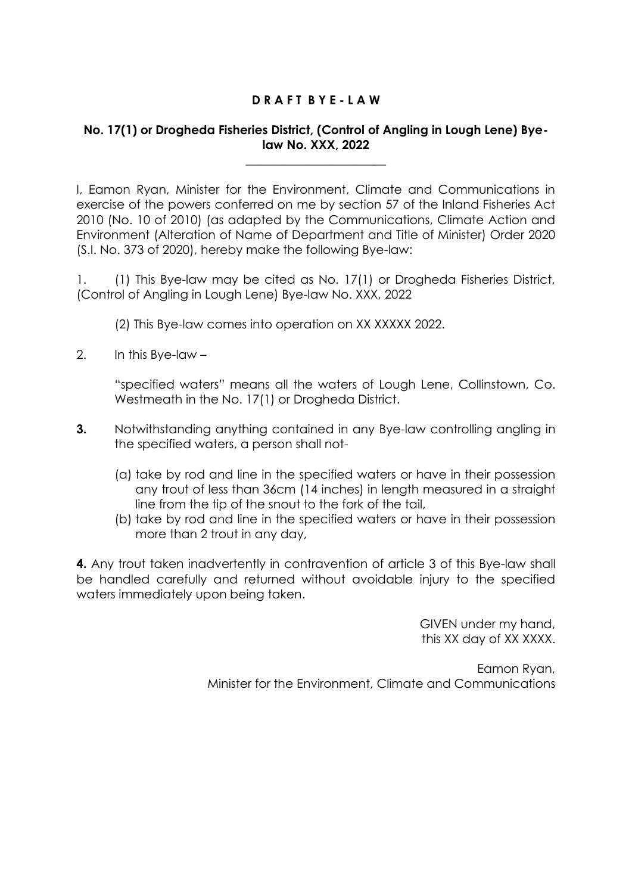## **D R A F T B Y E - L A W**

## **No. 17(1) or Drogheda Fisheries District, (Control of Angling in Lough Lene) Byelaw No. XXX, 2022**

\_\_\_\_\_\_\_\_\_\_\_\_\_\_\_\_\_\_\_\_\_\_\_

I, Eamon Ryan, Minister for the Environment, Climate and Communications in exercise of the powers conferred on me by section 57 of the Inland Fisheries Act 2010 (No. 10 of 2010) (as adapted by the Communications, Climate Action and Environment (Alteration of Name of Department and Title of Minister) Order 2020 (S.I. No. 373 of 2020), hereby make the following Bye-law:

1. (1) This Bye-law may be cited as No. 17(1) or Drogheda Fisheries District, (Control of Angling in Lough Lene) Bye-law No. XXX, 2022

(2) This Bye-law comes into operation on XX XXXXX 2022.

2. In this Bye-law –

"specified waters" means all the waters of Lough Lene, Collinstown, Co. Westmeath in the No. 17(1) or Drogheda District.

- **3.** Notwithstanding anything contained in any Bye-law controlling angling in the specified waters, a person shall not-
	- (a) take by rod and line in the specified waters or have in their possession any trout of less than 36cm (14 inches) in length measured in a straight line from the tip of the snout to the fork of the tail,
	- (b) take by rod and line in the specified waters or have in their possession more than 2 trout in any day,

**4.** Any trout taken inadvertently in contravention of article 3 of this Bye-law shall be handled carefully and returned without avoidable injury to the specified waters immediately upon being taken.

> GIVEN under my hand, this XX day of XX XXXX.

Eamon Ryan, Minister for the Environment, Climate and Communications